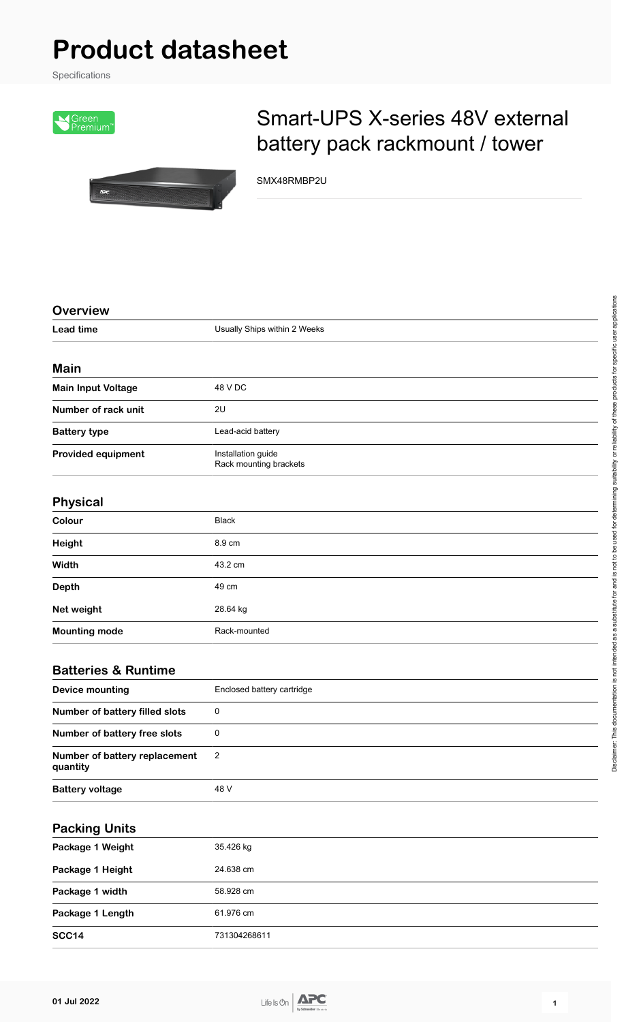## **Product datasheet**

Specifications





## Smart-UPS X-series 48V external battery pack rackmount / tower

SMX48RMBP2U

| <b>Overview</b>                           |                                              |
|-------------------------------------------|----------------------------------------------|
| <b>Lead time</b>                          | Usually Ships within 2 Weeks                 |
|                                           |                                              |
| <b>Main</b>                               |                                              |
| <b>Main Input Voltage</b>                 | 48 V DC                                      |
| Number of rack unit                       | 2U                                           |
| <b>Battery type</b>                       | Lead-acid battery                            |
| <b>Provided equipment</b>                 | Installation guide<br>Rack mounting brackets |
| <b>Physical</b>                           |                                              |
| Colour                                    | <b>Black</b>                                 |
| Height                                    | 8.9 cm                                       |
| Width                                     | 43.2 cm                                      |
| <b>Depth</b>                              | 49 cm                                        |
| Net weight                                | 28.64 kg                                     |
| <b>Mounting mode</b>                      | Rack-mounted                                 |
| <b>Batteries &amp; Runtime</b>            |                                              |
| <b>Device mounting</b>                    | Enclosed battery cartridge                   |
| Number of battery filled slots            | $\mathbf 0$                                  |
| Number of battery free slots              | $\pmb{0}$                                    |
| Number of battery replacement<br>quantity | 2                                            |
| <b>Battery voltage</b>                    | 48 V                                         |
|                                           |                                              |
| <b>Packing Units</b>                      |                                              |
| Package 1 Weight                          | 35.426 kg                                    |
| Package 1 Height                          | 24.638 cm                                    |
| Package 1 width                           | 58.928 cm                                    |
| Package 1 Length                          | 61.976 cm                                    |
| <b>SCC14</b>                              | 731304268611                                 |